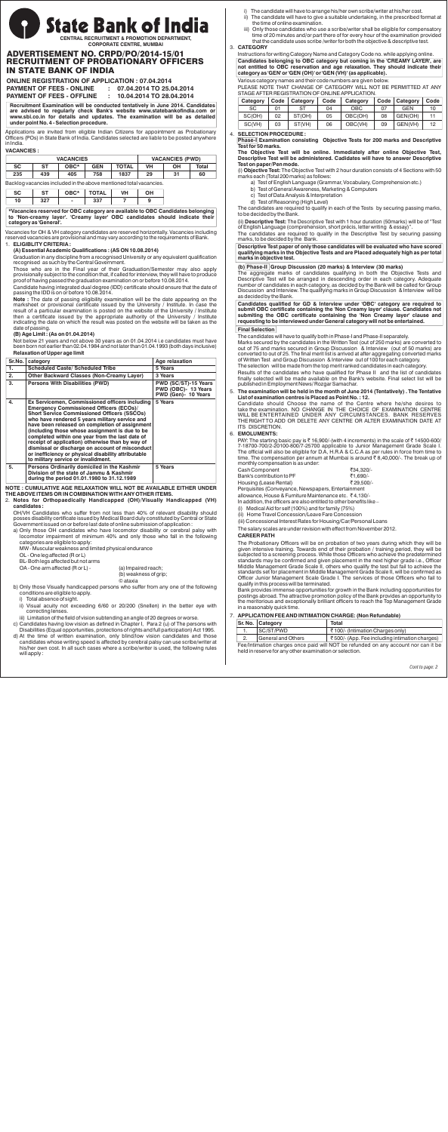# **State Bank of India**

**CENTRAL RECRUITMENT & PROMOTION DEPARTMENT, CORPORATE CENTRE, MUMBAI**

# ADVERTISEMENT NO. CRPD/PO/2014-15/01 RECRUITMENT OF PROBATIONARY OFFICERS IN STATE BANK OF INDIA

| <b>ONLINE REGISTRATION OF APPLICATION: 07.04.2014</b> |  |                                       |  |  |  |
|-------------------------------------------------------|--|---------------------------------------|--|--|--|
| <b>PAYMENT OF FEES - ONLINE</b>                       |  | $\therefore$ 07.04.2014 TO 25.04.2014 |  |  |  |
| <b>PAYMENT OF FEES - OFFLINE</b>                      |  | 10.04.2014 TO 28.04.2014              |  |  |  |

**Recruitment Examination will be conducted tentatively in June 2014. Candidates are advised to regularly check Bank's website www.statebankofindia.com or www.sbi.co.in for details and updates. The examination will be as detailed under point No. 4 - Selection procedure.**

Applications are invited from eligible Indian Citizens for appointment as Probationary Officers (POs) in State Bank of India. Candidates selected are liable to be posted anywhere in India.

# **VACANCIES :**

|                                                                    |           | <b>VACANCIES</b> |              | <b>VACANCIES (PWD)</b> |           |           |              |
|--------------------------------------------------------------------|-----------|------------------|--------------|------------------------|-----------|-----------|--------------|
| <b>SC</b>                                                          | <b>ST</b> | $OBC*$           | <b>GEN</b>   | <b>TOTAL</b>           | <b>VH</b> | <b>OH</b> | <b>Total</b> |
| 235                                                                | 439       | 405              | 758          | 1837                   | 29        | 31        | 60           |
| Backlog vacancies included in the above mentioned total vacancies. |           |                  |              |                        |           |           |              |
| <b>SC</b>                                                          | <b>ST</b> | OBC*             | <b>TOTAL</b> | <b>VH</b>              | <b>OH</b> |           |              |
| 10                                                                 | 327       | ۰                | 337          |                        | 9         |           |              |

**\*Vacancies reserved for OBC category are available to OBC Candidates belonging to 'Non-creamy layer'. 'Creamy layer' OBC candidates should indicate their category as 'General'.**

Vacancies for OH & VH category candidates are reserved horizontally. Vacancies including reserved vacancies are provisional and may vary according to the requirements of Bank.

# 1. **ELIGIBLITY CRITERIA :**

**(A) Essential Academic Qualifications : (AS ON 10.08.2014)** Graduation in any discipline from a recognised University or any equivalent qualification recognised as such by the Central Government.

Those who are in the Final year of their Graduation/Semester may also apply provisionally subject to the condition that, if called for interview, they will have to produce proof of having passed the graduation examination on or before 10.08.2014.

Candidate having integrated dual degree (IDD) certificate should ensure that the date of passing the IDD is on or before 10.08.2014.

**Note :** The date of passing eligibility examination will be the date appearing on the marksheet or provisional certificate issued by the University / Institute. In case the result of a particular examination is posted on the website of the University / Institute then a certificate issued by the appropriate authority of the University / Institute indicating the date on which the result was posted on the website will be taken as the date of passing.

# **(B) Age Limit : (As on 01.04.2014)**

Not below 21 years and not above 30 years as on 01.04.2014 i.e candidates must have been born not earlier than 02.04.1984 and not later than 01.04.1993 (both days inclusive) **Relaxation of Upper age limit**

| Sr.No. | category                                                                                                                                                                                                                                                                                                                                                                                                                                                                                                                                                             | Age relaxation                                                     |
|--------|----------------------------------------------------------------------------------------------------------------------------------------------------------------------------------------------------------------------------------------------------------------------------------------------------------------------------------------------------------------------------------------------------------------------------------------------------------------------------------------------------------------------------------------------------------------------|--------------------------------------------------------------------|
| 1.     | <b>Scheduled Caste/ Scheduled Tribe</b>                                                                                                                                                                                                                                                                                                                                                                                                                                                                                                                              | 5 Years                                                            |
| 2.     | <b>Other Backward Classes (Non-Creamy Layer)</b>                                                                                                                                                                                                                                                                                                                                                                                                                                                                                                                     | 3 Years                                                            |
| 3.     | <b>Persons With Disabilities (PWD)</b>                                                                                                                                                                                                                                                                                                                                                                                                                                                                                                                               | PWD (SC/ST)-15 Years<br>PWD (OBC)- 13 Years<br>PWD (Gen)- 10 Years |
| 4.     | Ex Servicemen, Commissioned officers including<br><b>Emergency Commissioned Officers (ECOs)/</b><br><b>Short Service Commissioned Officers (SSCOs)</b><br>who have rendered 5 years military service and<br>have been released on completion of assignment<br>(including those whose assignment is due to be<br>completed within one year from the last date of<br>receipt of application) otherwise than by way of<br>dismissal or discharge on account of misconduct<br>or inefficiency or physical disability attributable<br>to military service or invalidment. | 5 Years                                                            |
| 5.     | Persons Ordinarily domiciled in the Kashmir<br>Division of the state of Jammu & Kashmir<br>during the period 01.01.1980 to 31.12.1989                                                                                                                                                                                                                                                                                                                                                                                                                                | 5 Years                                                            |

**NOTE : CUMULATIVE AGE RELAXATION WILL NOT BE AVAILABLE EITHER UNDER THE ABOVE ITEMS OR IN COMBINATION WITH ANY OTHER ITEMS.**

2. **Notes for Orthopaedically Handicapped (OH)/Visually Handicapped (VH) candidates :**

OH/VH Candidates who suffer from not less than 40% of relevant disability should posses disability certificate issued by Medical Board duly constituted by Central or State Government issued on or before last date of online submission of application :

a) Only those OH candidates who have locomotor disability or cerebral palsy with locomotor impairment of minimum 40% and only those who fall in the following categories are eligible to apply:

MW - Muscular weakness and limited physical endurance

OL - One leg affected (R or L)

BL- Both legs affected but not arms

OA - One arm affected (R or L) - (a) Impaired reach; (b) weakness of grip; © ataxia

b) Only those Visually handicapped persons who suffer from any one of the following conditions are eligible to apply.

Total absence of sight.

- ii) Visual acuity not exceeding 6/60 or 20/200 (Snellen) in the better eye with correcting lenses.
- iii) Limitation of the field of vision subtending an angle of 20 degrees or worse.
- c) Candidates having low vision as defined in Chapter I, Para 2 (u) of The persons with Disabilities (Equal opportunities, protections of rights and full participation) Act 1995.
- d) At the time of written examination, only blind/low vision candidates and those candidates whose writing speed is affected by cerebral palsy can use scribe/writer at his/her own cost. In all such cases where a scribe/writer is used, the following rules will apply :
- i) The candidate will have to arrange his/her own scribe/writer at his/her cost.
- ii) The candidate will have to give a suitable undertaking, in the prescribed format at the time of online examination.
- Only those candidates who use a scribe/writer shall be eligible for compensatory time of 20 minutes and/or part there of for every hour of the examination provided that the candidate uses scribe /writer for both the objective & descriptive test.

3. **CATEGORY**

Instructions for writing Category Name and Category Code no. while applying online. **Candidates belonging to OBC category but coming in the 'CREAMY LAYER', are not entitled to OBC reservation and age relaxation. They should indicate their category as 'GEN' or 'GEN (OH)' or 'GEN (VH)' (as applicable).** Various category names and their code numbers are given below.

PLEASE NOTE THAT CHANGE OF CATEGORY WILL NOT BE PERMITTED AT ANY STAGE AFTER REGISTRATION OF ONLINE APPLICATION.

| Category  | Code | Category | Code | Category   | Code <sub>1</sub> | Category | Code |
|-----------|------|----------|------|------------|-------------------|----------|------|
| <b>SC</b> | 01   |          | 04   | <b>OBC</b> | 07                | GEN      | 10   |
| SC(OH)    | 02   | ST(OH)   | 05   | OBC(OH)    | 08                | GEN(OH)  |      |
| SC(VH)    | 03   | ST(VH)   | 06   | OBC(VH)    | 09                | GEN(VH)  | 12   |

# 4. **SELECTION PROCEDURE :**

**Phase-I Examination consisting Objective Tests for 200 marks and Descriptive Test for 50 marks.**

**The Objective Test will be online. Immediately after online Objective Test, Descriptive Test will be administered. Cadidates will have to answer Descriptive Test on paper/Pen mode.** (i) Objective Test: The Objective Test with 2 hour duration consists of 4 Sections with 50

marks each (Total 200 marks) as follows:

- a) Test of English Language (Grammar, Vocabulary, Comprehension etc.)
- b) Test of General Awareness, Marketing & Computers
- c) Test of Data Analysis & Interpretation d) Test of Reasoning (High Level)

The candidates are required to qualify in each of the Tests by securing passing marks, to be decided by the Bank.

(ii) Descriptive Test: The Descriptive Test with 1 hour duration (50marks) will be of "Test of English Language (comprehension, short précis, letter writing & essay)".

The candidates are required to qualify in the Descriptive Test by securing passing marks, to be decided by the Bank.

**Descriptive Test paper of only those candidates will be evaluated who have scored qualifying marks in the Objective Tests and are Placed adequately high as per total marks in objective test.**

# **(b) Phase-II Group Discussion (20 marks) & Interview (30 marks)**

The aggregate marks of candidates qualifying in both the Objective Tests and Descriptive Test will be arranged in descending order in each category. Adequate number of candidates in each category, as decided by the Bank will be called for Group Discussion and Interview. The qualifying marks in Group Discussion & Interview will be as decided by the Bank.

**Candidates qualified for GD & Interview under 'OBC' category are required to submit OBC certificate containing the 'Non Creamy layer' clause. Candidates not submiting the OBC certificate containing the 'Non Creamy layer' clause and requesting to be interviewed under General category will not be entertained.**

# **Final Selection**

The candidates will have to qualify both in Phase-I and Phase-II separately.

Marks secured by the candidates in the Written Test (out of 250 marks) are converted to out of 75 and marks secured in Group Discussion & Interview (out of 50 marks) are converted to out of 25. The final merit list is arrived at after aggregating converted marks of Written Test and Group Discussion & Interview out of 100 for each category. The selection will be made from the top merit ranked candidates in each category.

Results of the candidates who have qualified for Phase II and the list of candidates finally selected will be made available on the Bank's website. Final select list will be published in Employment News/ Rozgar Samachar.

#### 5. **The examination will be held in the month of June 2014 (Tentatively) . The Tentative List of examination centres is Placed as Point No. : 12.**

Candidate should Choose the name of the Centre where he/she desires to take the examination. NO CHANGE IN THE CHOICE OF EXAMINATION CENTRE WILL BE ENTERTAINED UNDER ANY CIRCUMSTANCES. BANK RESERVES THE RIGHT TO ADD OR DELETE ANY CENTRE OR ALTER EXAMINATION DATE AT **ITS DISCRETION.** 

# 6. **EMOLUMENTS:**

PAY: The starting basic pay is  $\bar{\tau}$  16,900/-(with 4 increments) in the scale of  $\bar{\tau}$  14500-600/ 7-18700-700/2-20100-800/7-25700 applicable to Junior Management Grade Scale I. The official will also be eligible for D.A, H.R.A & C.C.A as per rules in force from time to time. The compensation per annum at Mumbai is around  $\bar{\tau}$  8,40,000/-. The break up of monthly compensation is as under:

| Cash Component              | ₹34.320/- |
|-----------------------------|-----------|
| Bank's contribution to PF   | ₹1.690/-  |
| Housing (Lease Rental)      | ₹29.500/- |
| — 1920 MILLER PILLER (1930) |           |

Perquisites (Conveyance, Newspapers, Entertainment

allowance, House & Furniture Maintenance etc. ₹4,130/-In addition, the officers are also entitled to other benefits like –

(i) Medical Aid for self (100%) and for family (75%)

(ii) Home Travel Concession/Leave Fare Concession

(iii) Concessional Interest Rates for Housing/Car/Personal Loans

The salary scales are under revision with effect from November 2012.

# **CAREER PATH**

The Probationary Officers will be on probation of two years during which they will be given intensive training. Towards end of their probation / training period, they will be subjected to a screening process. While those Officers who achieve the predetermined standards may be confirmed and given placement in the next higher grade i.e., Officer Middle Management Grade Scale II, others who qualify the test but fail to achieve the standards set for placement in Middle Management Grade Scale II, will be confirmed as Officer Junior Management Scale Grade I. The services of those Officers who fail to qualify in this process will be terminated.

Bank provides immense opportunities for growth in the Bank including opportunities for postings abroad. The attractive promotion policy of the Bank provides an opportunity to the meritorious and exceptionally brilliant officers to reach the Top Management Grade in a reasonably quick time.

# 7. **APPLICATION FEE AND INTIMATION CHARGE: (Non Refundable)**

|  | <b>Sr. No.   Category</b> | Total                                          |  |  |
|--|---------------------------|------------------------------------------------|--|--|
|  | SC/ST/PWD                 | ₹100/- (Intimation Charges only)               |  |  |
|  | General and Others        | ₹500/- (App. Fee including intimation charges) |  |  |
|  |                           |                                                |  |  |

Fee/Intimation charges once paid will NOT be refunded on any account nor can it be held in reserve for any other examination or selection.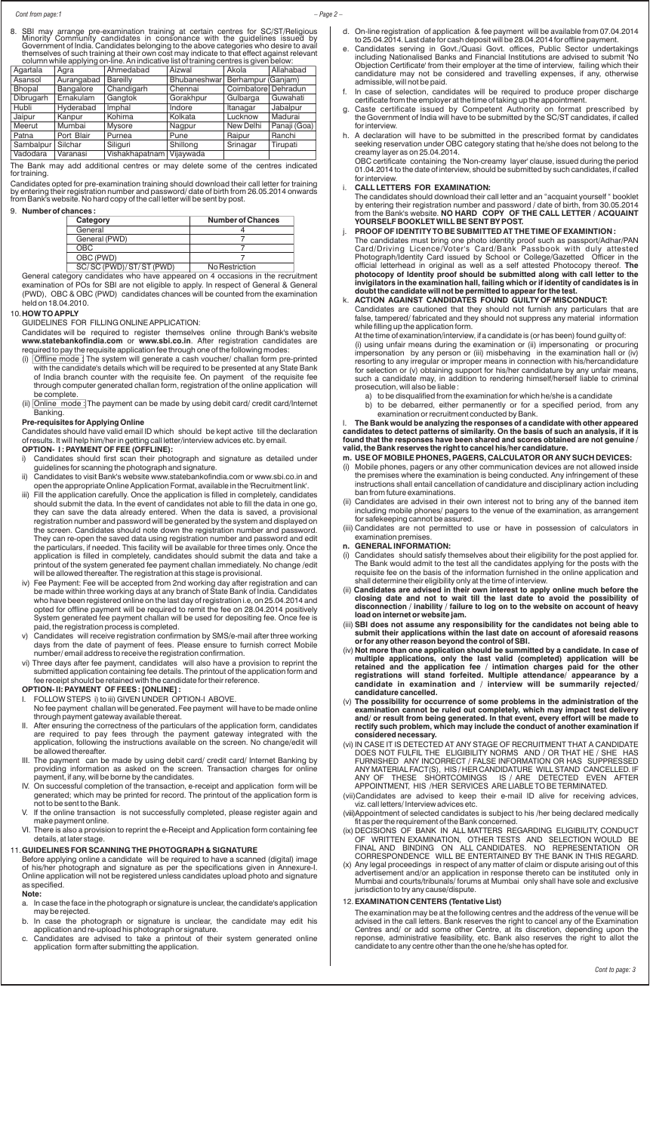8. SBI may arrange pre-examination training at certain centres for SC/ST/Religious Minority Community candidates in consonance with the guidelines issued by Government of India. Candidates belonging to the above categories who desire to avail themselves of such training at their own cost may indicate to that effect against relevant

|           | column while applying on-line. An indicative list of training centres is given below: |                          |              |                     |              |  |
|-----------|---------------------------------------------------------------------------------------|--------------------------|--------------|---------------------|--------------|--|
| Agartala  | Agra                                                                                  | Ahmedabad                | Aizwal       | Akola               | Allahabad    |  |
| Asansol   | Aurangabad                                                                            | <b>Bareilly</b>          | Bhubaneshwar | Berhampur (Ganjam)  |              |  |
| Bhopal    | Bangalore                                                                             | Chandigarh               | Chennai      | Coimbatore Dehradun |              |  |
| Dibrugarh | Ernakulam                                                                             | Gangtok                  | Gorakhpur    | Gulbarga            | Guwahati     |  |
| Hubli     | Hyderabad                                                                             | Imphal                   | Indore       | Itanagar            | Jabalpur     |  |
| Jaipur    | Kanpur                                                                                | Kohima                   | Kolkata      | Lucknow             | Madurai      |  |
| Meerut    | Mumbai                                                                                | Mysore                   | Nagpur       | New Delhi           | Panaji (Goa) |  |
| Patna     | Port Blair                                                                            | Purnea                   | Pune         | Raipur              | Ranchi       |  |
| Sambalpur | Silchar                                                                               | Siliguri                 | Shillong     | Srinagar            | Tirupati     |  |
| Vadodara  | Varanasi                                                                              | Vishakhapatnam Vijaywada |              |                     |              |  |

The Bank may add additional centres or may delete some of the centres indicated for training.

Candidates opted for pre-examination training should download their call letter for training by entering their registration number and password/ date of birth from 26.05.2014 onwards from Bank's website. No hard copy of the call letter will be sent by post.

# 9. **Number of chances :**

| Category                 | <b>Number of Chances</b> |  |  |  |
|--------------------------|--------------------------|--|--|--|
| General                  |                          |  |  |  |
| General (PWD)            |                          |  |  |  |
| OBC.                     |                          |  |  |  |
| OBC (PWD)                |                          |  |  |  |
| SC/SC (PWD)/ ST/ST (PWD) | No Restriction           |  |  |  |

General category candidates who have appeared on 4 occasions in the recruitment examination of POs for SBI are not eligible to apply. In respect of General & General (PWD), OBC & OBC (PWD) candidates chances will be counted from the examination held on 18.04.2010.

# 10.**HOW TO APPLY**

GUIDELINES FOR FILLING ONLINE APPLICATION:

Candidates will be required to register themselves online through Bank's website www.statebankofindia.com or www.sbi.co.in. After registration candidates are required to pay the requisite application fee through one of the following modes:

- (i) Offline mode : The system will generate a cash voucher/ challan form pre-printed with the candidate's details which will be required to be presented at any State Bank of India branch counter with the requisite fee. On payment of the requisite fee through computer generated challan form, registration of the online application will be complete.
- (ii) Online mode : The payment can be made by using debit card/ credit card/Internet Banking.

### **Pre-requisites for Applying Online**

Candidates should have valid email ID which should be kept active till the declaration of results. It will help him/her in getting call letter/interview advices etc. by email. **OPTION- I : PAYMENT OF FEE (OFFLINE):**

- 
- i) Candidates should first scan their photograph and signature as detailed under guidelines for scanning the photograph and signature.
- ii) Candidates to visit Bank's website www.statebankofindia.com or www.sbi.co.in and open the appropriate Online Application Format, available in the 'Recruitment link'.
- iii) Fill the application carefully. Once the application is filled in completely, candidates should submit the data. In the event of candidates not able to fill the data in one go, they can save the data already entered. When the data is saved, a provisional registration number and password will be generated by the system and displayed on the screen. Candidates should note down the registration number and password. They can re-open the saved data using registration number and password and edit the particulars, if needed. This facility will be available for three times only. Once the application is filled in completely, candidates should submit the data and take a printout of the system generated fee payment challan immediately. No change /edit will be allowed thereafter. The registration at this stage is provisional.
- iv) Fee Payment: Fee will be accepted from 2nd working day after registration and can be made within three working days at any branch of State Bank of India. Candidates who have been registered online on the last day of registration i.e, on 25.04.2014 and opted for offline payment will be required to remit the fee on 28.04.2014 positively System generated fee payment challan will be used for depositing fee. Once fee is paid, the registration process is completed.
- v) Candidates will receive registration confirmation by SMS/e-mail after three working days from the date of payment of fees. Please ensure to furnish correct Mobile number/ email address to receive the registration confirmation.
- vi) Three days after fee payment, candidates will also have a provision to reprint the submitted application containing fee details. The printout of the application form and fee receipt should be retained with the candidate for their reference.

# **OPTION- II: PAYMENT OF FEES : [ONLINE] :**

- FOLLOW STEPS i) to iii) GIVEN UNDER OPTION-I ABOVE.
- No fee payment challan will be generated. Fee payment will have to be made online through payment gateway available thereat.
- II. After ensuring the correctness of the particulars of the application form, candidates are required to pay fees through the payment gateway integrated with the application, following the instructions available on the screen. No change/edit will be allowed thereafter.
- III. The payment can be made by using debit card/ credit card/ Internet Banking by providing information as asked on the screen. Transaction charges for online payment, if any, will be borne by the candidates.
- IV. On successful completion of the transaction, e-receipt and application form will be generated; which may be printed for record. The printout of the application form is not to be sent to the Bank.
- V. If the online transaction is not successfully completed, please register again and make payment online.
- VI. There is also a provision to reprint the e-Receipt and Application form containing fee details, at later stage.

# 11.**GUIDELINES FOR SCANNING THE PHOTOGRAPH & SIGNATURE**

Before applying online a candidate will be required to have a scanned (digital) image of his/her photograph and signature as per the specifications given in Annexure-I. Online application will not be registered unless candidates upload photo and signature as specified.

- **Note:**
- a. In case the face in the photograph or signature is unclear, the candidate's application may be rejected.
- b. In case the photograph or signature is unclear, the candidate may edit his application and re-upload his photograph or signature.
- c. Candidates are advised to take a printout of their system generated online application form after submitting the application.
- d. On-line registration of application & fee payment will be available from 07.04.2014 to 25.04.2014. Last date for cash deposit will be 28.04.2014 for offline payment.
- Candidates serving in Govt./Quasi Govt. offices, Public Sector undertakings including Nationalised Banks and Financial Institutions are advised to submit 'No Objection Certificate' from their employer at the time of interview, failing which their candidature may not be considered and travelling expenses, if any, otherwise admissible, will not be paid.
- In case of selection, candidates will be required to produce proper discharge certificate from the employer at the time of taking up the appointment.
- g. Caste certificate issued by Competent Authority on format prescribed by the Government of India will have to be submitted by the SC/ST candidates, if called for interview.
- h. A declaration will have to be submitted in the prescribed format by candidates seeking reservation under OBC category stating that he/she does not belong to the creamy layer as on 25.04.2014.

OBC certificate containing the 'Non-creamy layer' clause, issued during the period 01.04.2014 to the date of interview, should be submitted by such candidates, if called for interview.

i. **CALL LETTERS FOR EXAMINATION:**

The candidates should download their call letter and an "acquaint yourself " booklet by entering their registration number and password / date of birth, from 30.05.2014 from the Bank's website. **NO HARD COPY OF THE CALL LETTER / ACQUAINT YOURSELF BOOKLET WILL BE SENT BY POST.**

# j. **PROOF OF IDENTITY TO BE SUBMITTED AT THE TIME OF EXAMINTION :**

The candidates must bring one photo identity proof such as passport/Adhar/PAN Card/Driving Licence/Voter's Card/Bank Passbook with duly attested Photograph/Identity Card issued by School or College/Gazetted Officer in the official letterhead in original as well as a self attested Photocopy thereof. **The photocopy of Identity proof should be submitted along with call letter to the invigilators in the examination hall, failing which or if identity of candidates is in doubt the candidate will not be permitted to appear for the test.**

k. **ACTION AGAINST CANDIDATES FOUND GUILTY OF MISCONDUCT:** Candidates are cautioned that they should not furnish any particulars that are

false, tampered/ fabricated and they should not suppress any material information while filling up the application form.

At the time of examination/interview, if a candidate is (or has been) found guilty of: (i) using unfair means during the examination or (ii) impersonating or procuring impersonation by any person or (iii) misbehaving in the examination hall or (iv) resorting to any irregular or improper means in connection with his/hercandidature for selection or (v) obtaining support for his/her candidature by any unfair means, such a candidate may, in addition to rendering himself/herself liable to criminal prosecution, will also be liable :

- a) to be disqualified from the examination for which he/she is a candidate
- b) to be debarred, either permanently or for a specified period, from any examination or recruitment conducted by Bank.

# l. **The Bank would be analyzing the responses of a candidate with other appeared candidates to detect patterns of similarity. On the basis of such an analysis, if it is found that the responses have been shared and scores obtained are not genuine / valid, the Bank reserves the right to cancel his/her candidature.**

# **m. USE OF MOBILE PHONES, PAGERS, CALCULATOR OR ANY SUCH DEVICES:**

- Mobile phones, pagers or any other communication devices are not allowed inside the premises where the examination is being conducted. Any infringement of these instructions shall entail cancellation of candidature and disciplinary action including ban from future examinations.
- (ii) Candidates are advised in their own interest not to bring any of the banned item including mobile phones/ pagers to the venue of the examination, as arrangement for safekeeping cannot be assured.
- (iii) Candidates are not permitted to use or have in possession of calculators in examination premises.

# **n. GENERAL INFORMATION:**

- (i) Candidates should satisfy themselves about their eligibility for the post applied for. The Bank would admit to the test all the candidates applying for the posts with the requisite fee on the basis of the information furnished in the online application and shall determine their eligibility only at the time of interview.
- (ii) **Candidates are advised in their own interest to apply online much before the closing date and not to wait till the last date to avoid the possibility of disconnection / inability / failure to log on to the website on account of heavy load on internet or website jam.**
- (iii) **SBI does not assume any responsibility for the candidates not being able to submit their applications within the last date on account of aforesaid reasons or for any other reason beyond the control of SBI.**
- (iv) **Not more than one application should be summitted by a candidate. In case of multiple applications, only the last valid (completed) application will be retained and the application fee / intimation charges paid for the other registrations will stand forfeited. Multiple attendance/ appearance by a candidate in examination and / interview will be summarily rejected/ candidature cancelled.**
- (v) **The possibility for occurrence of some problems in the administration of the examination cannot be ruled out completely, which may impact test delivery and/ or result from being generated. In that event, every effort will be made to rectify such problem, which may include the conduct of another examination if considered necessary.**

(vi) IN CASE IT IS DETECTED AT ANY STAGE OF RECRUITMENT THAT A CANDIDATE DOES NOT FULFIL THE ELIGIBILITY NORMS AND / OR THAT HE / SHE HAS FURNISHED ANY INCORRECT / FALSE INFORMATION OR HAS SUPPRESSED ANY MATERIAL FACT(S), HIS / HER CANDIDATURE WILL STAND CANCELLED. IF<br>ANY OF THESE SHORTCOMINGS IS / ARE DETECTED EVEN AFTER IS / ARE DETECTED EVEN AFTER APPOINTMENT, HIS /HER SERVICES ARE LIABLE TO BE TERMINATED.

- (vii)Candidates are advised to keep their e-mail ID alive for receiving advices, viz. call letters/ Interview advices etc.
- (viii)Appointment of selected candidates is subject to his /her being declared medically fit as per the requirement of the Bank concerned.
- (ix) DECISIONS OF BANK IN ALL MATTERS REGARDING ELIGIBILITY, CONDUCT OF WRITTEN EXAMINATION, OTHER TESTS AND SELECTION WOULD BE FINAL AND BINDING ON ALL CANDIDATES. NO REPRESENTATION OR CORRESPONDENCE WILL BE ENTERTAINED BY THE BANK IN THIS REGARD.
- (x) Any legal proceedings in respect of any matter of claim or dispute arising out of this advertisement and/or an application in response thereto can be instituted only in Mumbai and courts/tribunals/ forums at Mumbai only shall have sole and exclusive jurisdiction to try any cause/dispute.

# 12.**EXAMINATION CENTERS (Tentative List)**

The examination may be at the following centres and the address of the venue will be advised in the call letters. Bank reserves the right to cancel any of the Examination Centres and/ or add some other Centre, at its discretion, depending upon the reponse, administrative feasibility, etc. Bank also reserves the right to allot the candidate to any centre other than the one he/she has opted for.

# *Cont from page:1 – Page 2 –*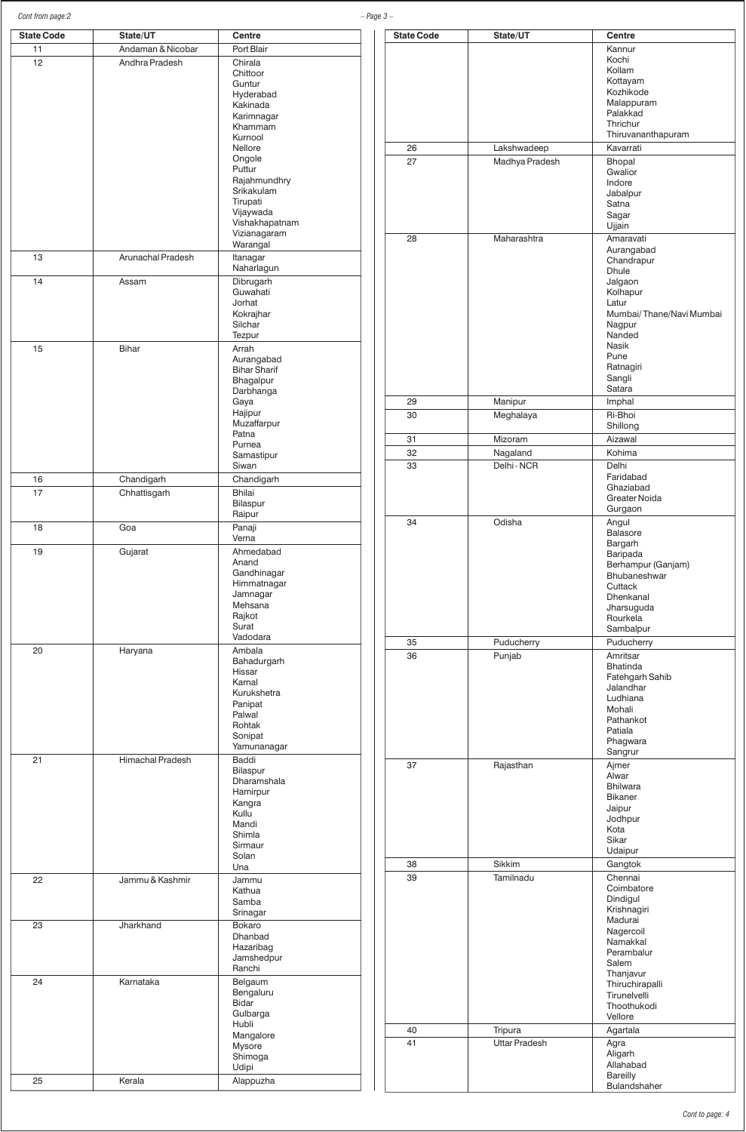| Cont from page:2  |                   |                                   | $- Page 3 -$ |
|-------------------|-------------------|-----------------------------------|--------------|
| <b>State Code</b> | State/UT          | <b>Centre</b>                     |              |
| 11                | Andaman & Nicobar | Port Blair                        |              |
| 12                | Andhra Pradesh    | Chirala                           |              |
|                   |                   | Chittoor                          |              |
|                   |                   | Guntur<br>Hyderabad               |              |
|                   |                   | Kakinada                          |              |
|                   |                   | Karimnagar                        |              |
|                   |                   | Khammam                           |              |
|                   |                   | Kurnool<br><b>Nellore</b>         |              |
|                   |                   | Ongole                            |              |
|                   |                   | Puttur                            |              |
|                   |                   | Rajahmundhry                      |              |
|                   |                   | Srikakulam                        |              |
|                   |                   | Tirupati<br>Vijaywada             |              |
|                   |                   | Vishakhapatnam                    |              |
|                   |                   | Vizianagaram                      |              |
|                   |                   | Warangal                          |              |
| 13                | Arunachal Pradesh | Itanagar                          |              |
|                   |                   | Naharlagun                        |              |
| 14                | Assam             | Dibrugarh<br>Guwahati             |              |
|                   |                   | Jorhat                            |              |
|                   |                   | Kokrajhar                         |              |
|                   |                   | Silchar                           |              |
|                   |                   | Tezpur                            |              |
| 15                | <b>Bihar</b>      | Arrah                             |              |
|                   |                   | Aurangabad<br><b>Bihar Sharif</b> |              |
|                   |                   | Bhagalpur                         |              |
|                   |                   | Darbhanga                         |              |
|                   |                   | Gaya                              |              |
|                   |                   | Hajipur<br>Muzaffarpur            |              |
|                   |                   | Patna                             |              |
|                   |                   | Purnea                            |              |
|                   |                   | Samastipur                        |              |
|                   |                   | Siwan                             |              |
| 16                | Chandigarh        | Chandigarh                        |              |
| 17                | Chhattisgarh      | <b>Bhilai</b><br>Bilaspur         |              |
|                   |                   | Raipur                            |              |
| 18                | Goa               | Panaji                            |              |
|                   |                   | Verna                             |              |
| 19                | Gujarat           | Ahmedabad                         |              |
|                   |                   | Anand                             |              |
|                   |                   | Gandhinagar                       |              |
|                   |                   | Himmatnagar<br>Jamnagar           |              |
|                   |                   | Mehsana                           |              |
|                   |                   | Rajkot                            |              |
|                   |                   | Surat<br>Vadodara                 |              |
| 20                |                   | Ambala                            |              |
|                   | Haryana           | Bahadurgarh                       |              |
|                   |                   | Hissar                            |              |
|                   |                   | Karnal                            |              |
|                   |                   | Kurukshetra                       |              |
|                   |                   | Panipat<br>Palwal                 |              |
|                   |                   | Rohtak                            |              |
|                   |                   | Sonipat                           |              |
|                   |                   | Yamunanagar                       |              |
| 21                | Himachal Pradesh  | Baddi                             |              |
|                   |                   | Bilaspur<br>Dharamshala           |              |
|                   |                   | Hamirpur                          |              |
|                   |                   | Kangra                            |              |
|                   |                   | Kullu                             |              |
|                   |                   | Mandi                             |              |
|                   |                   | Shimla<br>Sirmaur                 |              |
|                   |                   | Solan                             |              |
|                   |                   | Una                               |              |
| 22                | Jammu & Kashmir   | Jammu                             |              |
|                   |                   | Kathua                            |              |
|                   |                   | Samba<br>Srinagar                 |              |
| 23                | Jharkhand         | Bokaro                            |              |
|                   |                   | Dhanbad                           |              |
|                   |                   | Hazaribag                         |              |
|                   |                   | Jamshedpur                        |              |
|                   |                   | Ranchi                            |              |
| 24                | Karnataka         | Belgaum                           |              |
|                   |                   | Bengaluru<br><b>Bidar</b>         |              |
|                   |                   | Gulbarga                          |              |
|                   |                   | Hubli                             |              |
|                   |                   | Mangalore                         |              |
|                   |                   | Mysore                            |              |
|                   |                   | Shimoga                           |              |
|                   |                   | Udipi                             |              |
| 25                | Kerala            | Alappuzha                         |              |

| <b>State Code</b> | State/UT             | Centre                   |
|-------------------|----------------------|--------------------------|
|                   |                      | Kannur                   |
|                   |                      | Kochi                    |
|                   |                      | Kollam                   |
|                   |                      |                          |
|                   |                      | Kottayam                 |
|                   |                      | Kozhikode                |
|                   |                      | Malappuram               |
|                   |                      | Palakkad                 |
|                   |                      | Thrichur                 |
|                   |                      | Thiruvananthapuram       |
| 26                | Lakshwadeep          | Kavarrati                |
|                   |                      |                          |
| 27                | Madhya Pradesh       | Bhopal                   |
|                   |                      | Gwalior                  |
|                   |                      | Indore                   |
|                   |                      | Jabalpur                 |
|                   |                      | Satna                    |
|                   |                      | Sagar                    |
|                   |                      | Ujjain                   |
|                   |                      |                          |
| 28                | Maharashtra          | Amaravati                |
|                   |                      | Aurangabad               |
|                   |                      | Chandrapur               |
|                   |                      | <b>Dhule</b>             |
|                   |                      | Jalgaon                  |
|                   |                      | Kolhapur                 |
|                   |                      | Latur                    |
|                   |                      | Mumbai/Thane/Navi Mumbai |
|                   |                      | Nagpur                   |
|                   |                      | Nanded                   |
|                   |                      | <b>Nasik</b>             |
|                   |                      |                          |
|                   |                      | Pune                     |
|                   |                      | Ratnagiri                |
|                   |                      | Sangli                   |
|                   |                      | Satara                   |
| 29                | Manipur              | Imphal                   |
|                   |                      |                          |
| 30                | Meghalaya            | Ri-Bhoi                  |
|                   |                      | Shillong                 |
| 31                | Mizoram              | Aizawal                  |
| 32                | Nagaland             | Kohima                   |
|                   |                      |                          |
| 33                | Delhi - NCR          | Delhi                    |
|                   |                      | Faridabad                |
|                   |                      | Ghaziabad                |
|                   |                      | <b>Greater Noida</b>     |
|                   |                      | Gurgaon                  |
|                   |                      |                          |
| 34                | Odisha               | Angul                    |
|                   |                      | <b>Balasore</b>          |
|                   |                      | Bargarh                  |
|                   |                      | Baripada                 |
|                   |                      | Berhampur (Ganjam)       |
|                   |                      | Bhubaneshwar             |
|                   |                      | Cuttack                  |
|                   |                      | Dhenkanal                |
|                   |                      |                          |
|                   |                      | Jharsuguda               |
|                   |                      | Rourkela                 |
|                   |                      | Sambalpur                |
| 35                | Puducherry           | Puducherry               |
|                   |                      |                          |
| 36                | Punjab               | Amritsar                 |
|                   |                      | <b>Bhatinda</b>          |
|                   |                      | Fatehgarh Sahib          |
|                   |                      | Jalandhar                |
|                   |                      | Ludhiana                 |
|                   |                      | Mohali                   |
|                   |                      | Pathankot                |
|                   |                      | Patiala                  |
|                   |                      | Phagwara                 |
|                   |                      | Sangrur                  |
|                   |                      |                          |
| 37                | Rajasthan            | Ajmer                    |
|                   |                      | Alwar                    |
|                   |                      | <b>Bhilwara</b>          |
|                   |                      | <b>Bikaner</b>           |
|                   |                      | Jaipur                   |
|                   |                      | Jodhpur                  |
|                   |                      | Kota                     |
|                   |                      | Sikar                    |
|                   |                      | Udaipur                  |
|                   |                      |                          |
| 38                | Sikkim               | Gangtok                  |
| 39                | Tamilnadu            | Chennai                  |
|                   |                      | Coimbatore               |
|                   |                      | Dindigul                 |
|                   |                      | Krishnagiri              |
|                   |                      | Madurai                  |
|                   |                      | Nagercoil                |
|                   |                      |                          |
|                   |                      | Namakkal                 |
|                   |                      | Perambalur               |
|                   |                      | Salem                    |
|                   |                      | Thanjavur                |
|                   |                      | Thiruchirapalli          |
|                   |                      | Tirunelvelli             |
|                   |                      | Thoothukodi              |
|                   |                      | Vellore                  |
|                   |                      |                          |
| 40                | Tripura              | Agartala                 |
| 41                | <b>Uttar Pradesh</b> | Agra                     |
|                   |                      | Aligarh                  |
|                   |                      | Allahabad                |
|                   |                      |                          |
|                   |                      | <b>Bareilly</b>          |
|                   |                      | Bulandshaher             |

*Cont to page: 4*